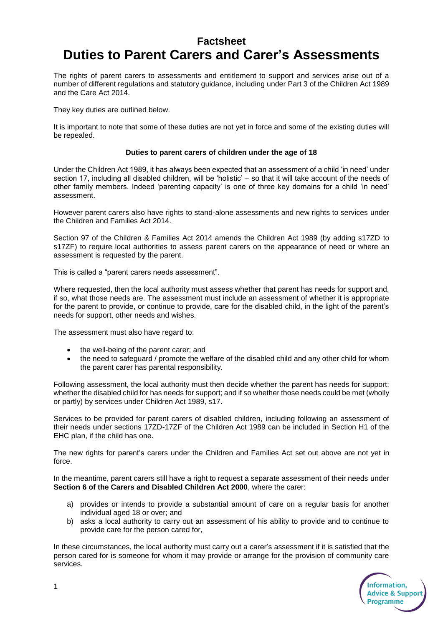# **Factsheet Duties to Parent Carers and Carer's Assessments**

The rights of parent carers to assessments and entitlement to support and services arise out of a number of different regulations and statutory guidance, including under Part 3 of the Children Act 1989 and the Care Act 2014.

They key duties are outlined below.

It is important to note that some of these duties are not yet in force and some of the existing duties will be repealed.

## **Duties to parent carers of children under the age of 18**

Under the Children Act 1989, it has always been expected that an assessment of a child 'in need' under section 17, including all disabled children, will be 'holistic' – so that it will take account of the needs of other family members. Indeed 'parenting capacity' is one of three key domains for a child 'in need' assessment.

However parent carers also have rights to stand-alone assessments and new rights to services under the Children and Families Act 2014.

Section 97 of the Children & Families Act 2014 amends the Children Act 1989 (by adding s17ZD to s17ZF) to require local authorities to assess parent carers on the appearance of need or where an assessment is requested by the parent.

This is called a "parent carers needs assessment".

Where requested, then the local authority must assess whether that parent has needs for support and, if so, what those needs are. The assessment must include an assessment of whether it is appropriate for the parent to provide, or continue to provide, care for the disabled child, in the light of the parent's needs for support, other needs and wishes.

The assessment must also have regard to:

- the well-being of the parent carer; and
- the need to safeguard / promote the welfare of the disabled child and any other child for whom the parent carer has parental responsibility.

Following assessment, the local authority must then decide whether the parent has needs for support; whether the disabled child for has needs for support; and if so whether those needs could be met (wholly or partly) by services under Children Act 1989, s17.

Services to be provided for parent carers of disabled children, including following an assessment of their needs under sections 17ZD-17ZF of the Children Act 1989 can be included in Section H1 of the EHC plan, if the child has one.

The new rights for parent's carers under the Children and Families Act set out above are not yet in force.

In the meantime, parent carers still have a right to request a separate assessment of their needs under **Section 6 of the Carers and Disabled Children Act 2000**, where the carer:

- a) provides or intends to provide a substantial amount of care on a regular basis for another individual aged 18 or over; and
- b) asks a local authority to carry out an assessment of his ability to provide and to continue to provide care for the person cared for,

In these circumstances, the local authority must carry out a carer's assessment if it is satisfied that the person cared for is someone for whom it may provide or arrange for the provision of community care services.

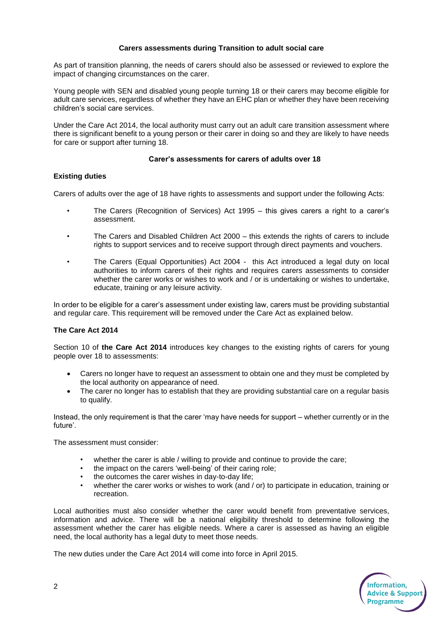# **Carers assessments during Transition to adult social care**

As part of transition planning, the needs of carers should also be assessed or reviewed to explore the impact of changing circumstances on the carer.

Young people with SEN and disabled young people turning 18 or their carers may become eligible for adult care services, regardless of whether they have an EHC plan or whether they have been receiving children's social care services.

Under the Care Act 2014, the local authority must carry out an adult care transition assessment where there is significant benefit to a young person or their carer in doing so and they are likely to have needs for care or support after turning 18.

#### **Carer's assessments for carers of adults over 18**

# **Existing duties**

Carers of adults over the age of 18 have rights to assessments and support under the following Acts:

- The Carers (Recognition of Services) Act 1995 this gives carers a right to a carer's assessment.
- The Carers and Disabled Children Act 2000 this extends the rights of carers to include rights to support services and to receive support through direct payments and vouchers.
- The Carers (Equal Opportunities) Act 2004 this Act introduced a legal duty on local authorities to inform carers of their rights and requires carers assessments to consider whether the carer works or wishes to work and / or is undertaking or wishes to undertake, educate, training or any leisure activity.

In order to be eligible for a carer's assessment under existing law, carers must be providing substantial and regular care. This requirement will be removed under the Care Act as explained below.

## **The Care Act 2014**

Section 10 of **the Care Act 2014** introduces key changes to the existing rights of carers for young people over 18 to assessments:

- Carers no longer have to request an assessment to obtain one and they must be completed by the local authority on appearance of need.
- The carer no longer has to establish that they are providing substantial care on a regular basis to qualify.

Instead, the only requirement is that the carer 'may have needs for support – whether currently or in the future'.

The assessment must consider:

- whether the carer is able / willing to provide and continue to provide the care;
- the impact on the carers 'well-being' of their caring role;
- the outcomes the carer wishes in day-to-day life;
- whether the carer works or wishes to work (and / or) to participate in education, training or recreation.

Local authorities must also consider whether the carer would benefit from preventative services, information and advice. There will be a national eligibility threshold to determine following the assessment whether the carer has eligible needs. Where a carer is assessed as having an eligible need, the local authority has a legal duty to meet those needs.

The new duties under the Care Act 2014 will come into force in April 2015.